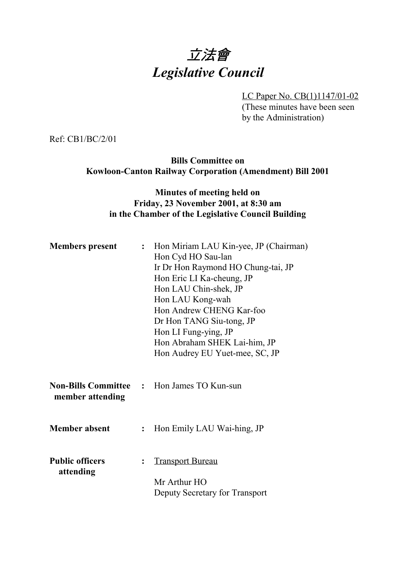# 立法會 *Legislative Council*

LC Paper No. CB(1)1147/01-02

(These minutes have been seen by the Administration)

Ref: CB1/BC/2/01

**Bills Committee on Kowloon-Canton Railway Corporation (Amendment) Bill 2001**

#### **Minutes of meeting held on Friday, 23 November 2001, at 8:30 am in the Chamber of the Legislative Council Building**

| <b>Members present</b>              |                | : Hon Miriam LAU Kin-yee, JP (Chairman)<br>Hon Cyd HO Sau-lan<br>Ir Dr Hon Raymond HO Chung-tai, JP<br>Hon Eric LI Ka-cheung, JP<br>Hon LAU Chin-shek, JP<br>Hon LAU Kong-wah<br>Hon Andrew CHENG Kar-foo<br>Dr Hon TANG Siu-tong, JP<br>Hon LI Fung-ying, JP<br>Hon Abraham SHEK Lai-him, JP<br>Hon Audrey EU Yuet-mee, SC, JP |
|-------------------------------------|----------------|---------------------------------------------------------------------------------------------------------------------------------------------------------------------------------------------------------------------------------------------------------------------------------------------------------------------------------|
| member attending                    |                | <b>Non-Bills Committee : Hon James TO Kun-sun</b>                                                                                                                                                                                                                                                                               |
| <b>Member absent</b>                | $\ddot{\cdot}$ | Hon Emily LAU Wai-hing, JP                                                                                                                                                                                                                                                                                                      |
| <b>Public officers</b><br>attending | $\ddot{\cdot}$ | <b>Transport Bureau</b><br>Mr Arthur HO<br>Deputy Secretary for Transport                                                                                                                                                                                                                                                       |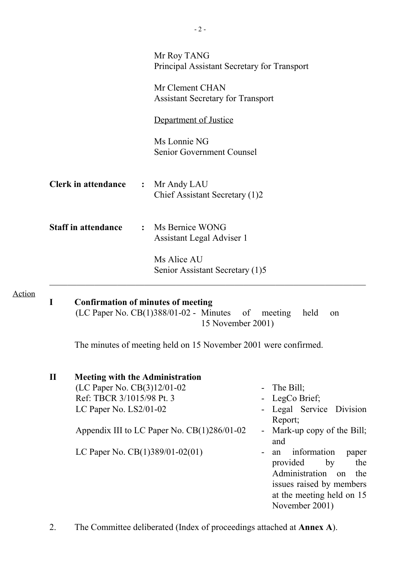|        |              |                                                                                                                              | Mr Roy TANG<br>Principal Assistant Secretary for Transport                                                      |                                                                                                                                             |
|--------|--------------|------------------------------------------------------------------------------------------------------------------------------|-----------------------------------------------------------------------------------------------------------------|---------------------------------------------------------------------------------------------------------------------------------------------|
|        |              |                                                                                                                              | Mr Clement CHAN<br><b>Assistant Secretary for Transport</b>                                                     |                                                                                                                                             |
|        |              |                                                                                                                              | Department of Justice                                                                                           |                                                                                                                                             |
|        |              |                                                                                                                              | Ms Lonnie NG<br>Senior Government Counsel                                                                       |                                                                                                                                             |
|        |              | <b>Clerk in attendance</b>                                                                                                   | Mr Andy LAU<br>$\ddot{\cdot}$<br>Chief Assistant Secretary (1)2                                                 |                                                                                                                                             |
|        |              | <b>Staff in attendance</b>                                                                                                   | Ms Bernice WONG<br>$\ddot{\cdot}$<br>Assistant Legal Adviser 1                                                  |                                                                                                                                             |
|        |              |                                                                                                                              | Ms Alice AU<br>Senior Assistant Secretary (1)5                                                                  |                                                                                                                                             |
| Action | $\mathbf I$  |                                                                                                                              | <b>Confirmation of minutes of meeting</b><br>$(LC$ Paper No. $CB(1)388/01-02$ - Minutes of<br>15 November 2001) | meeting<br>held<br>on                                                                                                                       |
|        |              |                                                                                                                              | The minutes of meeting held on 15 November 2001 were confirmed.                                                 |                                                                                                                                             |
|        | $\mathbf{I}$ | <b>Meeting with the Administration</b><br>(LC Paper No. CB(3)12/01-02<br>Ref: TBCR 3/1015/98 Pt. 3<br>LC Paper No. LS2/01-02 |                                                                                                                 | The Bill;<br>LegCo Brief;<br>Legal Service Division<br>Report;                                                                              |
|        |              |                                                                                                                              | Appendix III to LC Paper No. CB(1)286/01-02                                                                     | Mark-up copy of the Bill;<br>and                                                                                                            |
|        |              | LC Paper No. CB(1)389/01-02(01)                                                                                              |                                                                                                                 | information<br>paper<br>an<br>provided<br>by<br>the<br>Administration<br>the<br>on<br>issues raised by members<br>at the meeting held on 15 |

2. The Committee deliberated (Index of proceedings attached at **Annex A**).

November 2001)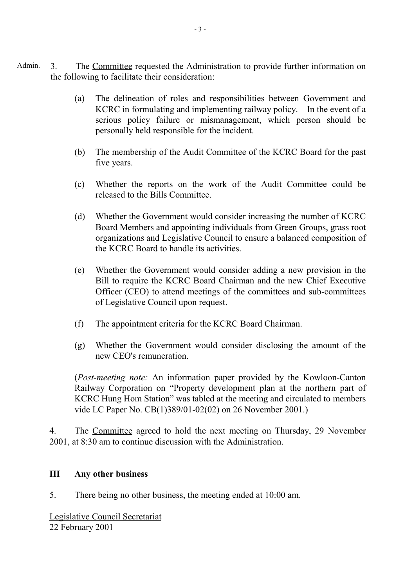- Admin. 3. The Committee requested the Administration to provide further information on the following to facilitate their consideration:
	- (a) The delineation of roles and responsibilities between Government and KCRC in formulating and implementing railway policy. In the event of a serious policy failure or mismanagement, which person should be personally held responsible for the incident.
	- (b) The membership of the Audit Committee of the KCRC Board for the past five years.
	- (c) Whether the reports on the work of the Audit Committee could be released to the Bills Committee.
	- (d) Whether the Government would consider increasing the number of KCRC Board Members and appointing individuals from Green Groups, grass root organizations and Legislative Council to ensure a balanced composition of the KCRC Board to handle its activities.
	- (e) Whether the Government would consider adding a new provision in the Bill to require the KCRC Board Chairman and the new Chief Executive Officer (CEO) to attend meetings of the committees and sub-committees of Legislative Council upon request.
	- (f) The appointment criteria for the KCRC Board Chairman.
	- (g) Whether the Government would consider disclosing the amount of the new CEO's remuneration.

(*Post-meeting note:* An information paper provided by the Kowloon-Canton Railway Corporation on "Property development plan at the northern part of KCRC Hung Hom Station" was tabled at the meeting and circulated to members vide LC Paper No. CB(1)389/01-02(02) on 26 November 2001.)

4. The Committee agreed to hold the next meeting on Thursday, 29 November 2001, at 8:30 am to continue discussion with the Administration.

#### **III Any other business**

5. There being no other business, the meeting ended at 10:00 am.

Legislative Council Secretariat 22 February 2001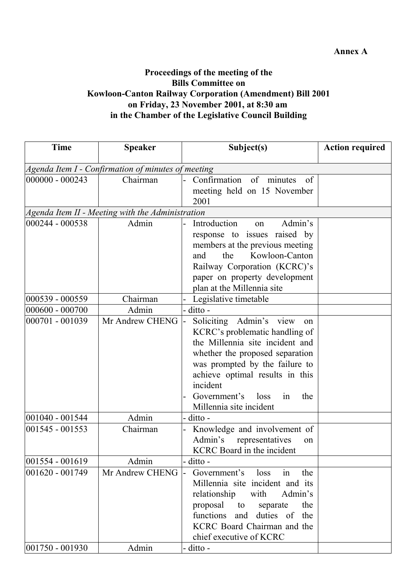#### **Annex A**

### **Proceedings of the meeting of the Bills Committee on Kowloon-Canton Railway Corporation (Amendment) Bill 2001 on Friday, 23 November 2001, at 8:30 am in the Chamber of the Legislative Council Building**

| <b>Time</b>        | <b>Speaker</b>                                     | Subject(s)                                                                                                                                                                                                                                                                                        | <b>Action required</b> |
|--------------------|----------------------------------------------------|---------------------------------------------------------------------------------------------------------------------------------------------------------------------------------------------------------------------------------------------------------------------------------------------------|------------------------|
|                    | Agenda Item I - Confirmation of minutes of meeting |                                                                                                                                                                                                                                                                                                   |                        |
| 000000 - 000243    | Chairman                                           | Confirmation<br>of minutes<br>of<br>meeting held on 15 November<br>2001                                                                                                                                                                                                                           |                        |
|                    | Agenda Item II - Meeting with the Administration   |                                                                                                                                                                                                                                                                                                   |                        |
| 000244 - 000538    | Admin                                              | Introduction<br>Admin's<br>$_{\rm 0n}$<br>response to issues raised by<br>members at the previous meeting<br>Kowloon-Canton<br>the<br>and<br>Railway Corporation (KCRC)'s<br>paper on property development<br>plan at the Millennia site                                                          |                        |
| 000539 - 000559    | Chairman                                           | Legislative timetable                                                                                                                                                                                                                                                                             |                        |
| 000600 - 000700    | Admin                                              | ditto -                                                                                                                                                                                                                                                                                           |                        |
| 000701 - 001039    | Mr Andrew CHENG                                    | Soliciting Admin's<br>view<br><sub>on</sub><br>KCRC's problematic handling of<br>the Millennia site incident and<br>whether the proposed separation<br>was prompted by the failure to<br>achieve optimal results in this<br>incident<br>Government's loss<br>the<br>in<br>Millennia site incident |                        |
| 001040 - 001544    | Admin                                              | ditto -                                                                                                                                                                                                                                                                                           |                        |
| 001545 - 001553    | Chairman                                           | Knowledge and involvement of<br>Admin's<br>representatives<br>on<br><b>KCRC</b> Board in the incident                                                                                                                                                                                             |                        |
| 001554 - 001619    | Admin                                              | ditto -                                                                                                                                                                                                                                                                                           |                        |
| 001620 - 001749    | Mr Andrew CHENG                                    | Government's<br>the<br>loss<br>in<br>Millennia site incident and its<br>Admin's<br>relationship<br>with<br>proposal to<br>the<br>separate<br>functions<br>and duties of<br>the<br>KCRC Board Chairman and the<br>chief executive of KCRC                                                          |                        |
| $ 001750 - 001930$ | Admin                                              | ditto -                                                                                                                                                                                                                                                                                           |                        |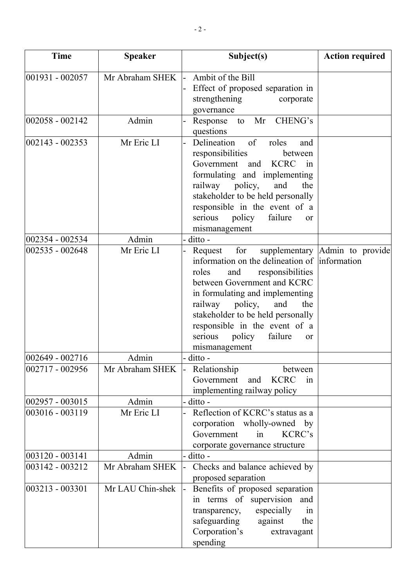| <b>Time</b>        | <b>Speaker</b>   | Subject(s)                                                                                                                                                                                                                                                                                                                                        | <b>Action required</b>         |
|--------------------|------------------|---------------------------------------------------------------------------------------------------------------------------------------------------------------------------------------------------------------------------------------------------------------------------------------------------------------------------------------------------|--------------------------------|
| 001931 - 002057    | Mr Abraham SHEK  | Ambit of the Bill<br>Effect of proposed separation in<br>strengthening<br>corporate<br>governance                                                                                                                                                                                                                                                 |                                |
| 002058 - 002142    | Admin            | CHENG's<br>Mr<br>Response<br>to<br>questions                                                                                                                                                                                                                                                                                                      |                                |
| $ 002143 - 002353$ | Mr Eric LI       | Delineation<br>of<br>roles<br>and<br>responsibilities<br>between<br>Government<br><b>KCRC</b><br>and<br>$\sin$<br>formulating and implementing<br>railway policy,<br>and<br>the<br>stakeholder to be held personally<br>responsible in the event of a<br>serious<br>policy<br>failure<br>or<br>mismanagement                                      |                                |
| 002354 - 002534    | Admin            | ditto -                                                                                                                                                                                                                                                                                                                                           |                                |
| 002535 - 002648    | Mr Eric LI       | for<br>Request<br>information on the delineation of information<br>responsibilities<br>roles<br>and<br>between Government and KCRC<br>in formulating and implementing<br>railway<br>policy,<br>and<br>the<br>stakeholder to be held personally<br>responsible in the event of a<br>failure<br>policy<br>serious<br><sub>or</sub><br>mismanagement | supplementary Admin to provide |
| $ 002649 - 002716$ | Admin            | - ditto -                                                                                                                                                                                                                                                                                                                                         |                                |
| 002717 - 002956    | Mr Abraham SHEK  | Relationship<br>between<br><b>KCRC</b><br>Government<br>and<br>in<br>implementing railway policy                                                                                                                                                                                                                                                  |                                |
| 002957 - 003015    | Admin            | ditto -                                                                                                                                                                                                                                                                                                                                           |                                |
| 003016 - 003119    | Mr Eric LI       | Reflection of KCRC's status as a<br>corporation wholly-owned by<br>Government<br>KCRC's<br>in<br>corporate governance structure                                                                                                                                                                                                                   |                                |
| 003120 - 003141    | Admin            | ditto -                                                                                                                                                                                                                                                                                                                                           |                                |
| 003142 - 003212    | Mr Abraham SHEK  | Checks and balance achieved by<br>proposed separation                                                                                                                                                                                                                                                                                             |                                |
| 003213 - 003301    | Mr LAU Chin-shek | Benefits of proposed separation<br>in terms of supervision<br>and<br>especially<br>transparency,<br>in<br>safeguarding<br>against<br>the<br>Corporation's<br>extravagant<br>spending                                                                                                                                                              |                                |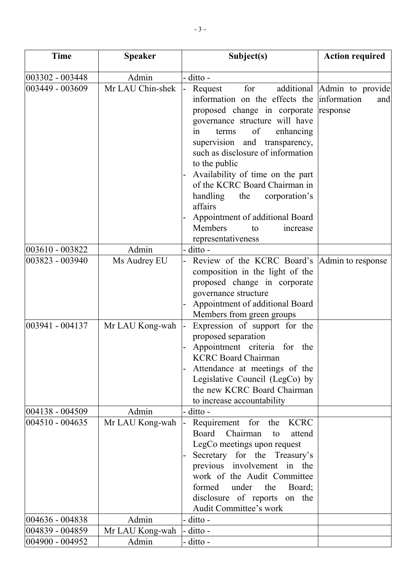| <b>Time</b>     | <b>Speaker</b>   | Subject(s)                                                                                                                                                                                                                                                                                                                                                                                                                                                          | <b>Action required</b>                             |
|-----------------|------------------|---------------------------------------------------------------------------------------------------------------------------------------------------------------------------------------------------------------------------------------------------------------------------------------------------------------------------------------------------------------------------------------------------------------------------------------------------------------------|----------------------------------------------------|
| 003302 - 003448 | Admin            | ditto -                                                                                                                                                                                                                                                                                                                                                                                                                                                             |                                                    |
| 003449 - 003609 | Mr LAU Chin-shek | additional<br>for<br>Request<br>information on the effects the<br>proposed change in corporate<br>governance structure will have<br>of<br>enhancing<br>in<br>terms<br>supervision and transparency,<br>such as disclosure of information<br>to the public<br>Availability of time on the part<br>of the KCRC Board Chairman in<br>handling<br>the<br>corporation's<br>affairs<br>Appointment of additional Board<br>Members<br>increase<br>to<br>representativeness | Admin to provide<br>information<br>and<br>response |
| 003610 - 003822 | Admin            | ditto -                                                                                                                                                                                                                                                                                                                                                                                                                                                             |                                                    |
| 003823 - 003940 | Ms Audrey EU     | Review of the KCRC Board's<br>composition in the light of the<br>proposed change in corporate<br>governance structure<br>Appointment of additional Board<br>Members from green groups                                                                                                                                                                                                                                                                               | Admin to response                                  |
| 003941 - 004137 | Mr LAU Kong-wah  | Expression of support for the<br>proposed separation<br>Appointment criteria<br>for the<br><b>KCRC Board Chairman</b><br>Attendance at meetings of the<br>Legislative Council (LegCo) by<br>the new KCRC Board Chairman<br>to increase accountability                                                                                                                                                                                                               |                                                    |
| 004138 - 004509 | Admin            | ditto -                                                                                                                                                                                                                                                                                                                                                                                                                                                             |                                                    |
| 004510 - 004635 | Mr LAU Kong-wah  | Requirement for the<br><b>KCRC</b><br><b>Board</b><br>Chairman<br>attend<br>to<br>LegCo meetings upon request<br>Secretary for the Treasury's<br>previous involvement in the<br>work of the Audit Committee<br>formed<br>under the<br>Board;<br>disclosure of reports on the<br>Audit Committee's work                                                                                                                                                              |                                                    |
| 004636 - 004838 | Admin            | ditto -                                                                                                                                                                                                                                                                                                                                                                                                                                                             |                                                    |
| 004839 - 004859 | Mr LAU Kong-wah  | ditto -                                                                                                                                                                                                                                                                                                                                                                                                                                                             |                                                    |
| 004900 - 004952 | Admin            | ditto -                                                                                                                                                                                                                                                                                                                                                                                                                                                             |                                                    |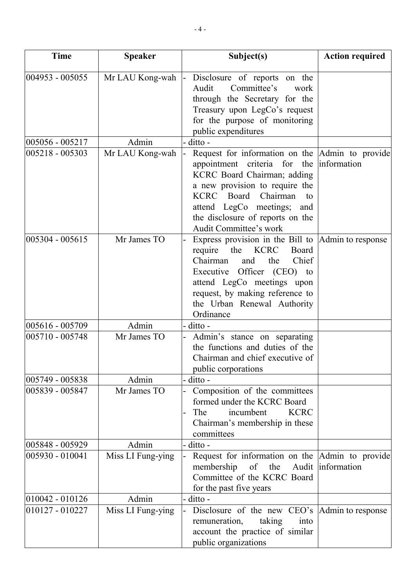| <b>Time</b>     | <b>Speaker</b>    | Subject(s)                                                                                                                                                                                                                                                                                         | <b>Action required</b> |
|-----------------|-------------------|----------------------------------------------------------------------------------------------------------------------------------------------------------------------------------------------------------------------------------------------------------------------------------------------------|------------------------|
| 004953 - 005055 | Mr LAU Kong-wah   | Disclosure of reports on the<br>Committee's<br>Audit<br>work<br>through the Secretary for the<br>Treasury upon LegCo's request<br>for the purpose of monitoring<br>public expenditures                                                                                                             |                        |
| 005056 - 005217 | Admin             | ditto -                                                                                                                                                                                                                                                                                            |                        |
| 005218 - 005303 | Mr LAU Kong-wah   | Request for information on the Admin to provide<br>appointment criteria for the information<br>KCRC Board Chairman; adding<br>a new provision to require the<br>KCRC Board<br>Chairman<br>to<br>attend LegCo meetings;<br>and<br>the disclosure of reports on the<br><b>Audit Committee's work</b> |                        |
| 005304 - 005615 | Mr James TO       | Express provision in the Bill to Admin to response<br><b>KCRC</b><br>require<br>the<br>Board<br>Chairman<br>Chief<br>the<br>and<br>Executive Officer (CEO) to<br>attend LegCo meetings upon<br>request, by making reference to<br>the Urban Renewal Authority<br>Ordinance                         |                        |
| 005616 - 005709 | Admin             | ditto -                                                                                                                                                                                                                                                                                            |                        |
| 005710 - 005748 | Mr James TO       | Admin's stance on separating<br>the functions and duties of the<br>Chairman and chief executive of<br>public corporations                                                                                                                                                                          |                        |
| 005749 - 005838 | Admin             | ditto -                                                                                                                                                                                                                                                                                            |                        |
| 005839 - 005847 | Mr James TO       | Composition of the committees<br>formed under the KCRC Board<br>The<br>incumbent<br><b>KCRC</b><br>Chairman's membership in these<br>committees                                                                                                                                                    |                        |
| 005848 - 005929 | Admin             | - ditto -                                                                                                                                                                                                                                                                                          |                        |
| 005930 - 010041 | Miss LI Fung-ying | Request for information on the Admin to provide<br>membership<br>of the Audit information<br>Committee of the KCRC Board<br>for the past five years                                                                                                                                                |                        |
| 010042 - 010126 | Admin             | ditto -                                                                                                                                                                                                                                                                                            |                        |
| 010127 - 010227 | Miss LI Fung-ying | Disclosure of the new CEO's  Admin to response<br>remuneration,<br>taking<br>into<br>account the practice of similar<br>public organizations                                                                                                                                                       |                        |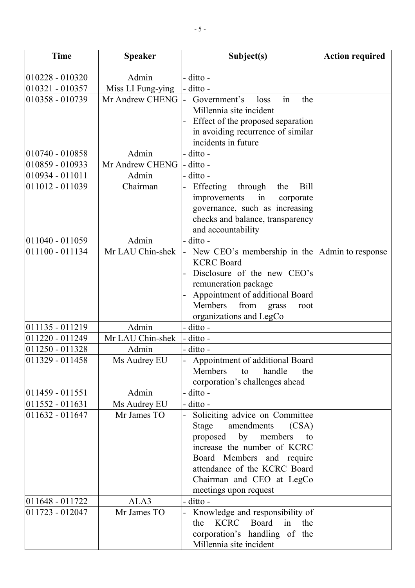| <b>Time</b>     | <b>Speaker</b>    | Subject(s)                                                                                                                                                                                                                                       | <b>Action required</b> |
|-----------------|-------------------|--------------------------------------------------------------------------------------------------------------------------------------------------------------------------------------------------------------------------------------------------|------------------------|
| 010228 - 010320 | Admin             | ditto -                                                                                                                                                                                                                                          |                        |
| 010321 - 010357 | Miss LI Fung-ying | ditto -                                                                                                                                                                                                                                          |                        |
| 010358 - 010739 | Mr Andrew CHENG   | Government's<br>loss<br>in<br>the<br>Millennia site incident<br>Effect of the proposed separation<br>in avoiding recurrence of similar<br>incidents in future                                                                                    |                        |
| 010740 - 010858 | Admin             | ditto -                                                                                                                                                                                                                                          |                        |
| 010859 - 010933 | Mr Andrew CHENG   | ditto -                                                                                                                                                                                                                                          |                        |
| 010934 - 011011 | Admin             | ditto -                                                                                                                                                                                                                                          |                        |
| 011012 - 011039 | Chairman          | Effecting<br><b>Bill</b><br>through<br>the<br>improvements<br>in<br>corporate<br>governance, such as increasing<br>checks and balance, transparency<br>and accountability                                                                        |                        |
| 011040 - 011059 | Admin             | - ditto -                                                                                                                                                                                                                                        |                        |
| 011100 - 011134 | Mr LAU Chin-shek  | New CEO's membership in the<br><b>KCRC</b> Board<br>Disclosure of the new CEO's<br>remuneration package<br>Appointment of additional Board<br>Members<br>from<br>grass<br>root<br>organizations and LegCo                                        | Admin to response      |
| 011135 - 011219 | Admin             | ditto -                                                                                                                                                                                                                                          |                        |
| 011220 - 011249 | Mr LAU Chin-shek  | ditto -                                                                                                                                                                                                                                          |                        |
| 011250 - 011328 | Admin             | ditto -                                                                                                                                                                                                                                          |                        |
| 011329 - 011458 | Ms Audrey EU      | Appointment of additional Board<br>Members<br>handle<br>the<br>to<br>corporation's challenges ahead                                                                                                                                              |                        |
| 011459 - 011551 | Admin             | ditto -                                                                                                                                                                                                                                          |                        |
| 011552 - 011631 | Ms Audrey EU      | ditto -                                                                                                                                                                                                                                          |                        |
| 011632 - 011647 | Mr James TO       | Soliciting advice on Committee<br>Stage<br>amendments<br>(CSA)<br>proposed by<br>members<br>to<br>increase the number of KCRC<br>Board Members and require<br>attendance of the KCRC Board<br>Chairman and CEO at LegCo<br>meetings upon request |                        |
| 011648 - 011722 | ALA3              | ditto -                                                                                                                                                                                                                                          |                        |
| 011723 - 012047 | Mr James TO       | Knowledge and responsibility of<br><b>KCRC</b><br>Board<br>in<br>the<br>the<br>corporation's handling of the<br>Millennia site incident                                                                                                          |                        |